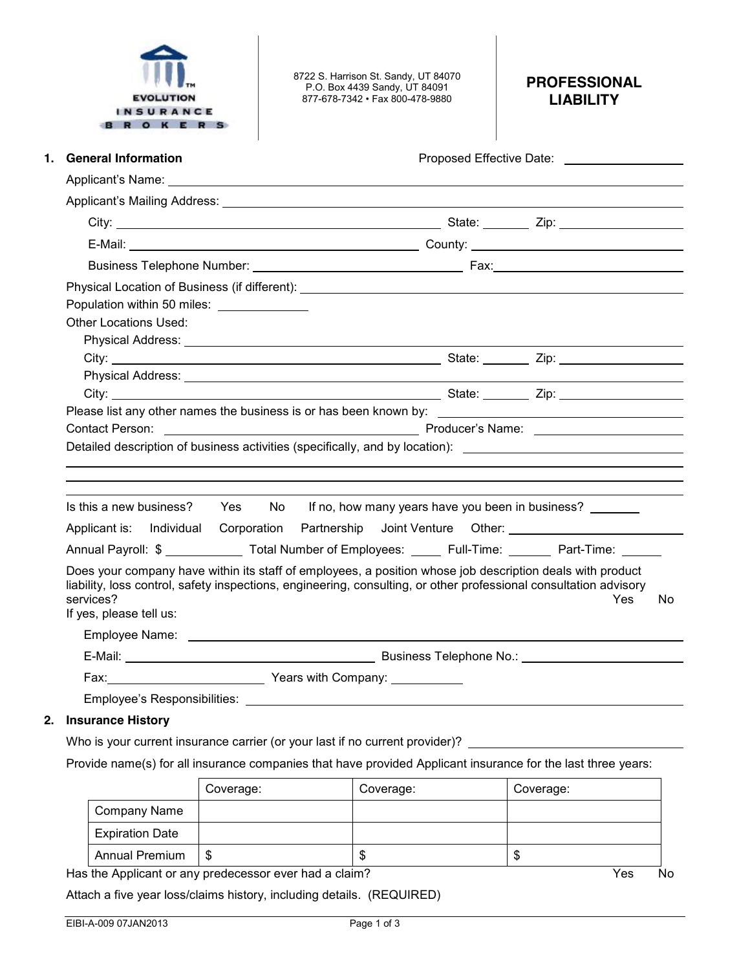

8722 S. Harrison St. Sandy, UT 84070 P.O. Box 4439 Sandy, UT 84091 877-678-7342 • Fax 800-478-9880

## **PROFESSIONAL LIABILITY**

| <b>General Information</b><br>1.                                                                                                                                                                                                                                       |  |  | Proposed Effective Date: Notelland School and School and School and School and School and School and School and School and School and School and School and School and School and School and School and School and School and |  |  |     |     |
|------------------------------------------------------------------------------------------------------------------------------------------------------------------------------------------------------------------------------------------------------------------------|--|--|-------------------------------------------------------------------------------------------------------------------------------------------------------------------------------------------------------------------------------|--|--|-----|-----|
|                                                                                                                                                                                                                                                                        |  |  |                                                                                                                                                                                                                               |  |  |     |     |
|                                                                                                                                                                                                                                                                        |  |  |                                                                                                                                                                                                                               |  |  |     |     |
|                                                                                                                                                                                                                                                                        |  |  |                                                                                                                                                                                                                               |  |  |     |     |
|                                                                                                                                                                                                                                                                        |  |  |                                                                                                                                                                                                                               |  |  |     |     |
|                                                                                                                                                                                                                                                                        |  |  |                                                                                                                                                                                                                               |  |  |     |     |
|                                                                                                                                                                                                                                                                        |  |  |                                                                                                                                                                                                                               |  |  |     |     |
| Population within 50 miles: _______________                                                                                                                                                                                                                            |  |  |                                                                                                                                                                                                                               |  |  |     |     |
| <b>Other Locations Used:</b>                                                                                                                                                                                                                                           |  |  |                                                                                                                                                                                                                               |  |  |     |     |
|                                                                                                                                                                                                                                                                        |  |  | Physical Address: Note and Address and Address and Address and Address and Address and Address and Address and A                                                                                                              |  |  |     |     |
|                                                                                                                                                                                                                                                                        |  |  |                                                                                                                                                                                                                               |  |  |     |     |
|                                                                                                                                                                                                                                                                        |  |  |                                                                                                                                                                                                                               |  |  |     |     |
|                                                                                                                                                                                                                                                                        |  |  | City: <u>City:</u> City: 2ip:                                                                                                                                                                                                 |  |  |     |     |
|                                                                                                                                                                                                                                                                        |  |  |                                                                                                                                                                                                                               |  |  |     |     |
| <b>Contact Person:</b><br>Detailed description of business activities (specifically, and by location): ________________________________                                                                                                                                |  |  |                                                                                                                                                                                                                               |  |  |     |     |
| Is this a new business? Yes No If no, how many years have you been in business?                                                                                                                                                                                        |  |  |                                                                                                                                                                                                                               |  |  |     |     |
| Applicant is: Individual Corporation Partnership Joint Venture Other: _____________________________                                                                                                                                                                    |  |  |                                                                                                                                                                                                                               |  |  |     |     |
| Annual Payroll: \$ ______________ Total Number of Employees: ______ Full-Time: _______ Part-Time: ______                                                                                                                                                               |  |  |                                                                                                                                                                                                                               |  |  |     |     |
| Does your company have within its staff of employees, a position whose job description deals with product<br>liability, loss control, safety inspections, engineering, consulting, or other professional consultation advisory<br>services?<br>If yes, please tell us: |  |  |                                                                                                                                                                                                                               |  |  | Yes | No. |
|                                                                                                                                                                                                                                                                        |  |  |                                                                                                                                                                                                                               |  |  |     |     |
|                                                                                                                                                                                                                                                                        |  |  |                                                                                                                                                                                                                               |  |  |     |     |

## **2. Insurance History**

Who is your current insurance carrier (or your last if no current provider)?

Provide name(s) for all insurance companies that have provided Applicant insurance for the last three years:

|                        | Coverage: | Coverage: | Coverage: |
|------------------------|-----------|-----------|-----------|
| <b>Company Name</b>    |           |           |           |
| <b>Expiration Date</b> |           |           |           |
| <b>Annual Premium</b>  | S.        | œ<br>۰D   | Œ         |

Has the Applicant or any predecessor ever had a claim? The Second Second Second Second Second Second Second Second Second Second Second Second Second Second Second Second Second Second Second Second Second Second Second Se

Attach a five year loss/claims history, including details. (REQUIRED)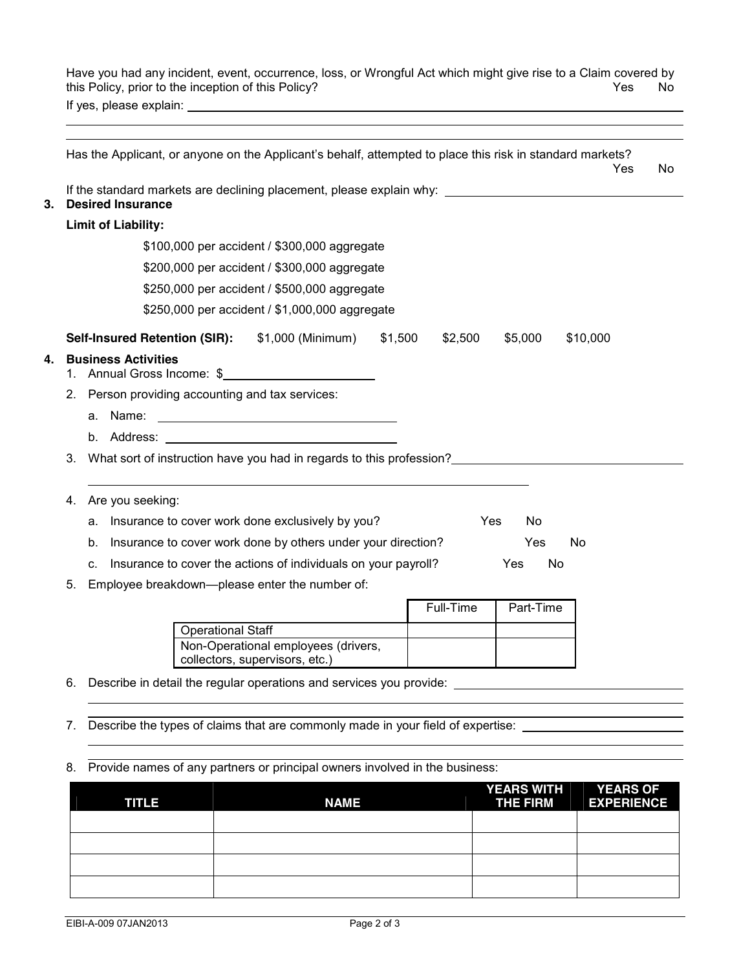Have you had any incident, event, occurrence, loss, or Wrongful Act which might give rise to a Claim covered by this Policy, prior to the inception of this Policy? No was not all the Ves No was not well as No Wes No Wes No If yes, please explain:

|                            |                          | Has the Applicant, or anyone on the Applicant's behalf, attempted to place this risk in standard markets?            |           |           | Yes      | No. |
|----------------------------|--------------------------|----------------------------------------------------------------------------------------------------------------------|-----------|-----------|----------|-----|
| <b>Desired Insurance</b>   |                          | If the standard markets are declining placement, please explain why: _______________________________                 |           |           |          |     |
| <b>Limit of Liability:</b> |                          |                                                                                                                      |           |           |          |     |
|                            |                          | \$100,000 per accident / \$300,000 aggregate                                                                         |           |           |          |     |
|                            |                          | \$200,000 per accident / \$300,000 aggregate                                                                         |           |           |          |     |
|                            |                          | \$250,000 per accident / \$500,000 aggregate                                                                         |           |           |          |     |
|                            |                          | \$250,000 per accident / \$1,000,000 aggregate                                                                       |           |           |          |     |
|                            |                          | Self-Insured Retention (SIR): \$1,000 (Minimum) \$1,500                                                              | \$2,500   | \$5,000   | \$10,000 |     |
| <b>Business Activities</b> |                          | 1. Annual Gross Income: \$                                                                                           |           |           |          |     |
|                            |                          | 2. Person providing accounting and tax services:                                                                     |           |           |          |     |
| a. Name:                   |                          | <u> 2000 - Jan James James Jan James James James James James James James James James James James James James Jam</u> |           |           |          |     |
|                            |                          |                                                                                                                      |           |           |          |     |
| 3.                         |                          | What sort of instruction have you had in regards to this profession?                                                 |           |           |          |     |
|                            |                          |                                                                                                                      |           |           |          |     |
| Are you seeking:<br>4.     |                          |                                                                                                                      |           |           |          |     |
|                            |                          | a. Insurance to cover work done exclusively by you?                                                                  |           | Yes<br>No |          |     |
| b.                         |                          | Insurance to cover work done by others under your direction?                                                         |           | Yes       | No       |     |
| C <sub>r</sub>             |                          | Insurance to cover the actions of individuals on your payroll?                                                       |           | Yes<br>No |          |     |
| 5.                         |                          | Employee breakdown--please enter the number of:                                                                      |           |           |          |     |
|                            |                          |                                                                                                                      | Full-Time | Part-Time |          |     |
|                            | <b>Operational Staff</b> |                                                                                                                      |           |           |          |     |

collectors, supervisors, etc.) 6. Describe in detail the regular operations and services you provide:

- 7. Describe the types of claims that are commonly made in your field of expertise:
- 8. Provide names of any partners or principal owners involved in the business:

Non-Operational employees (drivers,

| <b>TITLE</b> | <b>NAME</b> | YEARS WITH YEARS OF<br><b>THE FIRM</b> | ___<br><b>EXPERIENCE</b> |
|--------------|-------------|----------------------------------------|--------------------------|
|              |             |                                        |                          |
|              |             |                                        |                          |
|              |             |                                        |                          |
|              |             |                                        |                          |